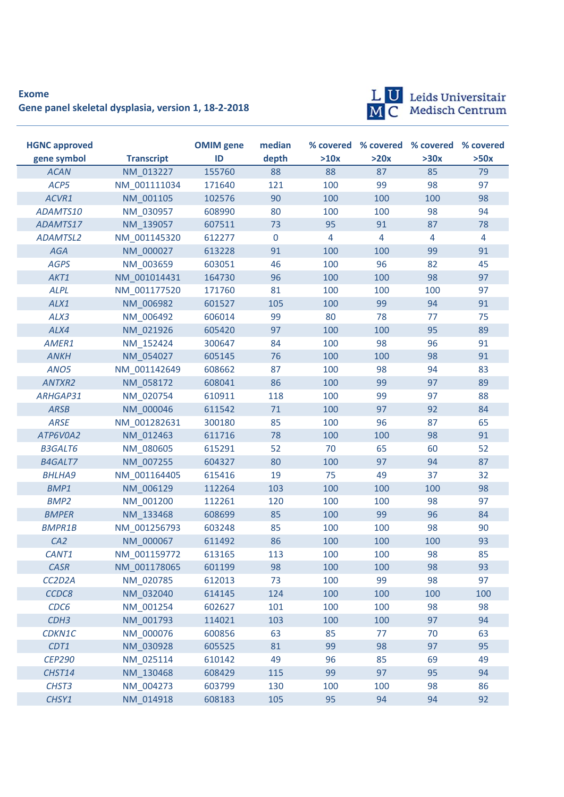## **Exome Gene panel skeletal dysplasia, version 1, 18-2-2018**



LU Leids Universitair<br>MC Medisch Centrum

| <b>HGNC approved</b> |                   | <b>OMIM</b> gene | median      |      |                | % covered % covered % covered % covered |                |
|----------------------|-------------------|------------------|-------------|------|----------------|-----------------------------------------|----------------|
| gene symbol          | <b>Transcript</b> | ID               | depth       | >10x | >20x           | >30x                                    | >50x           |
| <b>ACAN</b>          | NM 013227         | 155760           | 88          | 88   | 87             | 85                                      | 79             |
| ACP5                 | NM 001111034      | 171640           | 121         | 100  | 99             | 98                                      | 97             |
| ACVR1                | NM 001105         | 102576           | 90          | 100  | 100            | 100                                     | 98             |
| ADAMTS10             | NM 030957         | 608990           | 80          | 100  | 100            | 98                                      | 94             |
| ADAMTS17             | NM 139057         | 607511           | 73          | 95   | 91             | 87                                      | 78             |
| <b>ADAMTSL2</b>      | NM 001145320      | 612277           | $\mathbf 0$ | 4    | $\overline{4}$ | 4                                       | $\overline{4}$ |
| <b>AGA</b>           | NM 000027         | 613228           | 91          | 100  | 100            | 99                                      | 91             |
| <b>AGPS</b>          | NM 003659         | 603051           | 46          | 100  | 96             | 82                                      | 45             |
| AKT1                 | NM 001014431      | 164730           | 96          | 100  | 100            | 98                                      | 97             |
| <b>ALPL</b>          | NM 001177520      | 171760           | 81          | 100  | 100            | 100                                     | 97             |
| ALX1                 | NM 006982         | 601527           | 105         | 100  | 99             | 94                                      | 91             |
| ALX3                 | NM 006492         | 606014           | 99          | 80   | 78             | 77                                      | 75             |
| ALX4                 | NM 021926         | 605420           | 97          | 100  | 100            | 95                                      | 89             |
| AMER1                | NM 152424         | 300647           | 84          | 100  | 98             | 96                                      | 91             |
| <b>ANKH</b>          | NM 054027         | 605145           | 76          | 100  | 100            | 98                                      | 91             |
| ANO <sub>5</sub>     | NM 001142649      | 608662           | 87          | 100  | 98             | 94                                      | 83             |
| ANTXR2               | NM 058172         | 608041           | 86          | 100  | 99             | 97                                      | 89             |
| ARHGAP31             | NM 020754         | 610911           | 118         | 100  | 99             | 97                                      | 88             |
| <b>ARSB</b>          | NM 000046         | 611542           | 71          | 100  | 97             | 92                                      | 84             |
| <b>ARSE</b>          | NM 001282631      | 300180           | 85          | 100  | 96             | 87                                      | 65             |
| ATP6V0A2             | NM 012463         | 611716           | 78          | 100  | 100            | 98                                      | 91             |
| <b>B3GALT6</b>       | NM 080605         | 615291           | 52          | 70   | 65             | 60                                      | 52             |
| <b>B4GALT7</b>       | NM 007255         | 604327           | 80          | 100  | 97             | 94                                      | 87             |
| <b>BHLHA9</b>        | NM 001164405      | 615416           | 19          | 75   | 49             | 37                                      | 32             |
| <b>BMP1</b>          | NM 006129         | 112264           | 103         | 100  | 100            | 100                                     | 98             |
| BMP <sub>2</sub>     | NM 001200         | 112261           | 120         | 100  | 100            | 98                                      | 97             |
| <b>BMPER</b>         | NM 133468         | 608699           | 85          | 100  | 99             | 96                                      | 84             |
| <b>BMPR1B</b>        | NM 001256793      | 603248           | 85          | 100  | 100            | 98                                      | 90             |
| CA2                  | NM 000067         | 611492           | 86          | 100  | 100            | 100                                     | 93             |
| CANT1                | NM 001159772      | 613165           | 113         | 100  | 100            | 98                                      | 85             |
| CASR                 | NM_001178065      | 601199           | 98          | 100  | 100            | 98                                      | 93             |
| CC2D2A               | NM_020785         | 612013           | 73          | 100  | 99             | 98                                      | 97             |
| CCDC8                | NM 032040         | 614145           | 124         | 100  | 100            | 100                                     | 100            |
| CDC6                 | NM 001254         | 602627           | 101         | 100  | 100            | 98                                      | 98             |
| CDH <sub>3</sub>     | NM 001793         | 114021           | 103         | 100  | 100            | 97                                      | 94             |
| CDKN1C               | NM_000076         | 600856           | 63          | 85   | 77             | 70                                      | 63             |
| CDT1                 | NM_030928         | 605525           | 81          | 99   | 98             | 97                                      | 95             |
| <b>CEP290</b>        | NM 025114         | 610142           | 49          | 96   | 85             | 69                                      | 49             |
| CHST14               | NM_130468         | 608429           | 115         | 99   | 97             | 95                                      | 94             |
| CHST <sub>3</sub>    | NM_004273         | 603799           | 130         | 100  | 100            | 98                                      | 86             |
| CHSY1                | NM_014918         | 608183           | 105         | 95   | 94             | 94                                      | 92             |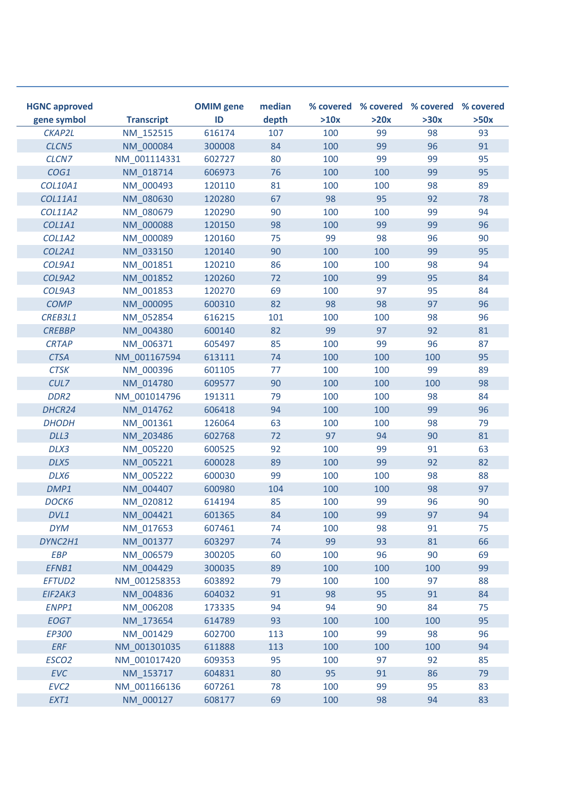| <b>HGNC approved</b><br>gene symbol | <b>Transcript</b> | <b>OMIM</b> gene<br>ID | median<br>depth | >10x | >20x | % covered % covered % covered % covered<br>>30x | >50x |
|-------------------------------------|-------------------|------------------------|-----------------|------|------|-------------------------------------------------|------|
| CKAP2L                              | NM 152515         | 616174                 | 107             | 100  | 99   | 98                                              | 93   |
| CLCN <sub>5</sub>                   | NM 000084         | 300008                 | 84              | 100  | 99   | 96                                              | 91   |
| CLCN7                               | NM 001114331      | 602727                 | 80              | 100  | 99   | 99                                              | 95   |
| COG1                                | NM 018714         | 606973                 | 76              | 100  | 100  | 99                                              | 95   |
| COL10A1                             | NM 000493         | 120110                 | 81              | 100  | 100  | 98                                              | 89   |
| COL11A1                             | NM 080630         | 120280                 | 67              | 98   | 95   | 92                                              | 78   |
| <b>COL11A2</b>                      | NM 080679         | 120290                 | 90              | 100  | 100  | 99                                              | 94   |
| COL1A1                              | NM 000088         | 120150                 | 98              | 100  | 99   | 99                                              | 96   |
| COL1A2                              | NM 000089         | 120160                 | 75              | 99   | 98   | 96                                              | 90   |
| COL2A1                              | NM 033150         | 120140                 | 90              | 100  | 100  | 99                                              | 95   |
| COL9A1                              | NM 001851         | 120210                 | 86              | 100  | 100  | 98                                              | 94   |
| COL9A2                              | NM 001852         | 120260                 | 72              | 100  | 99   | 95                                              | 84   |
| COL9A3                              | NM 001853         | 120270                 | 69              | 100  | 97   | 95                                              | 84   |
| <b>COMP</b>                         | NM 000095         | 600310                 | 82              | 98   | 98   | 97                                              | 96   |
| CREB3L1                             | NM_052854         | 616215                 | 101             | 100  | 100  | 98                                              | 96   |
| <b>CREBBP</b>                       | NM 004380         | 600140                 | 82              | 99   | 97   | 92                                              | 81   |
| <b>CRTAP</b>                        | NM 006371         | 605497                 | 85              | 100  | 99   | 96                                              | 87   |
| <b>CTSA</b>                         | NM 001167594      | 613111                 | 74              | 100  | 100  | 100                                             | 95   |
| <b>CTSK</b>                         | NM 000396         | 601105                 | 77              | 100  | 100  | 99                                              | 89   |
| CUL7                                | NM 014780         | 609577                 | 90              | 100  | 100  | 100                                             | 98   |
| DDR <sub>2</sub>                    | NM 001014796      | 191311                 | 79              | 100  | 100  | 98                                              | 84   |
| DHCR24                              | NM 014762         | 606418                 | 94              | 100  | 100  | 99                                              | 96   |
| <b>DHODH</b>                        | NM 001361         | 126064                 | 63              | 100  | 100  | 98                                              | 79   |
| DLL3                                | NM 203486         | 602768                 | 72              | 97   | 94   | 90                                              | 81   |
| DLX3                                | NM 005220         | 600525                 | 92              | 100  | 99   | 91                                              | 63   |
| DLX5                                | NM 005221         | 600028                 | 89              | 100  | 99   | 92                                              | 82   |
| DLX6                                | NM_005222         | 600030                 | 99              | 100  | 100  | 98                                              | 88   |
| DMP1                                | NM 004407         | 600980                 | 104             | 100  | 100  | 98                                              | 97   |
| DOCK6                               | NM 020812         | 614194                 | 85              | 100  | 99   | 96                                              | 90   |
| DVL1                                | NM 004421         | 601365                 | 84              | 100  | 99   | 97                                              | 94   |
| <b>DYM</b>                          | NM_017653         | 607461                 | 74              | 100  | 98   | 91                                              | 75   |
| DYNC2H1                             | NM_001377         | 603297                 | 74              | 99   | 93   | 81                                              | 66   |
| <b>EBP</b>                          | NM_006579         | 300205                 | 60              | 100  | 96   | 90                                              | 69   |
| EFNB1                               | NM_004429         | 300035                 | 89              | 100  | 100  | 100                                             | 99   |
| EFTUD2                              | NM 001258353      | 603892                 | 79              | 100  | 100  | 97                                              | 88   |
| EIF2AK3                             | NM_004836         | 604032                 | 91              | 98   | 95   | 91                                              | 84   |
| ENPP1                               | NM_006208         | 173335                 | 94              | 94   | 90   | 84                                              | 75   |
| <b>EOGT</b>                         | NM 173654         | 614789                 | 93              | 100  | 100  | 100                                             | 95   |
| EP300                               | NM_001429         | 602700                 | 113             | 100  | 99   | 98                                              | 96   |
| ERF                                 | NM_001301035      | 611888                 | 113             | 100  | 100  | 100                                             | 94   |
| ESCO <sub>2</sub>                   | NM_001017420      | 609353                 | 95              | 100  | 97   | 92                                              | 85   |
| <b>EVC</b>                          | NM_153717         | 604831                 | 80              | 95   | 91   | 86                                              | 79   |
| EVC <sub>2</sub>                    | NM_001166136      | 607261                 | 78              | 100  | 99   | 95                                              | 83   |
| EXT1                                | NM_000127         | 608177                 | 69              | 100  | 98   | 94                                              | 83   |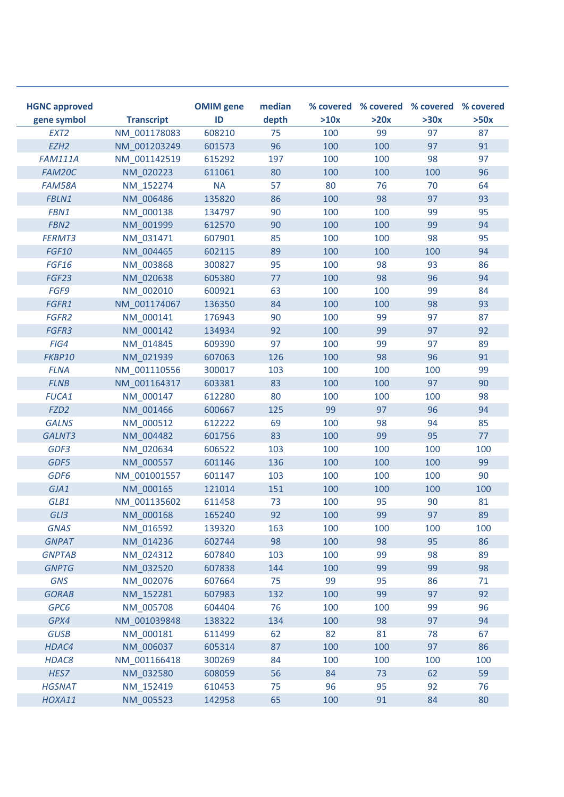| <b>HGNC approved</b><br>gene symbol | <b>Transcript</b> | <b>OMIM</b> gene<br>ID | median<br>depth | >10x | >20x | % covered % covered % covered % covered<br>>30x | >50x |
|-------------------------------------|-------------------|------------------------|-----------------|------|------|-------------------------------------------------|------|
| EXT <sub>2</sub>                    | NM 001178083      | 608210                 | 75              | 100  | 99   | 97                                              | 87   |
| EZH <sub>2</sub>                    | NM 001203249      | 601573                 | 96              | 100  | 100  | 97                                              | 91   |
| <b>FAM111A</b>                      | NM 001142519      | 615292                 | 197             | 100  | 100  | 98                                              | 97   |
| FAM20C                              | NM 020223         | 611061                 | 80              | 100  | 100  | 100                                             | 96   |
| FAM58A                              | NM 152274         | <b>NA</b>              | 57              | 80   | 76   | 70                                              | 64   |
| FBLN1                               | NM 006486         | 135820                 | 86              | 100  | 98   | 97                                              | 93   |
| FBN1                                | NM 000138         | 134797                 | 90              | 100  | 100  | 99                                              | 95   |
| FBN <sub>2</sub>                    | NM 001999         | 612570                 | 90              | 100  | 100  | 99                                              | 94   |
| FERMT3                              | NM 031471         | 607901                 | 85              | 100  | 100  | 98                                              | 95   |
| <b>FGF10</b>                        | NM 004465         | 602115                 | 89              | 100  | 100  | 100                                             | 94   |
| FGF16                               | NM 003868         | 300827                 | 95              | 100  | 98   | 93                                              | 86   |
| FGF23                               | NM 020638         | 605380                 | 77              | 100  | 98   | 96                                              | 94   |
| FGF9                                | NM 002010         | 600921                 | 63              | 100  | 100  | 99                                              | 84   |
| FGFR1                               | NM 001174067      | 136350                 | 84              | 100  | 100  | 98                                              | 93   |
| FGFR2                               | NM 000141         | 176943                 | 90              | 100  | 99   | 97                                              | 87   |
| FGFR3                               | NM 000142         | 134934                 | 92              | 100  | 99   | 97                                              | 92   |
| FIG4                                | NM 014845         | 609390                 | 97              | 100  | 99   | 97                                              | 89   |
| FKBP10                              | NM 021939         | 607063                 | 126             | 100  | 98   | 96                                              | 91   |
| <b>FLNA</b>                         | NM 001110556      | 300017                 | 103             | 100  | 100  | 100                                             | 99   |
| <b>FLNB</b>                         | NM 001164317      | 603381                 | 83              | 100  | 100  | 97                                              | 90   |
| <b>FUCA1</b>                        | NM 000147         | 612280                 | 80              | 100  | 100  | 100                                             | 98   |
| FZD <sub>2</sub>                    | NM 001466         | 600667                 | 125             | 99   | 97   | 96                                              | 94   |
| <b>GALNS</b>                        | NM_000512         | 612222                 | 69              | 100  | 98   | 94                                              | 85   |
| GALNT3                              | NM 004482         | 601756                 | 83              | 100  | 99   | 95                                              | 77   |
| GDF3                                | NM 020634         | 606522                 | 103             | 100  | 100  | 100                                             | 100  |
| GDF5                                | NM 000557         | 601146                 | 136             | 100  | 100  | 100                                             | 99   |
| GDF6                                | NM 001001557      | 601147                 | 103             | 100  | 100  | 100                                             | 90   |
| GJA1                                | NM 000165         | 121014                 | 151             | 100  | 100  | 100                                             | 100  |
| GLB1                                | NM 001135602      | 611458                 | 73              | 100  | 95   | 90                                              | 81   |
| GLI3                                | NM_000168         | 165240                 | 92              | 100  | 99   | 97                                              | 89   |
| <b>GNAS</b>                         | NM_016592         | 139320                 | 163             | 100  | 100  | 100                                             | 100  |
| <b>GNPAT</b>                        | NM 014236         | 602744                 | 98              | 100  | 98   | 95                                              | 86   |
| <b>GNPTAB</b>                       | NM 024312         | 607840                 | 103             | 100  | 99   | 98                                              | 89   |
| <b>GNPTG</b>                        | NM_032520         | 607838                 | 144             | 100  | 99   | 99                                              | 98   |
| <b>GNS</b>                          | NM 002076         | 607664                 | 75              | 99   | 95   | 86                                              | 71   |
| <b>GORAB</b>                        | NM_152281         | 607983                 | 132             | 100  | 99   | 97                                              | 92   |
| GPC6                                | NM_005708         | 604404                 | 76              | 100  | 100  | 99                                              | 96   |
| GPX4                                | NM_001039848      | 138322                 | 134             | 100  | 98   | 97                                              | 94   |
| <b>GUSB</b>                         | NM_000181         | 611499                 | 62              | 82   | 81   | 78                                              | 67   |
| HDAC4                               | NM 006037         | 605314                 | 87              | 100  | 100  | 97                                              | 86   |
| HDAC8                               | NM_001166418      | 300269                 | 84              | 100  | 100  | 100                                             | 100  |
| HES7                                | NM_032580         | 608059                 | 56              | 84   | 73   | 62                                              | 59   |
| <b>HGSNAT</b>                       | NM_152419         | 610453                 | 75              | 96   | 95   | 92                                              | 76   |
| HOXA11                              | NM_005523         | 142958                 | 65              | 100  | 91   | 84                                              | 80   |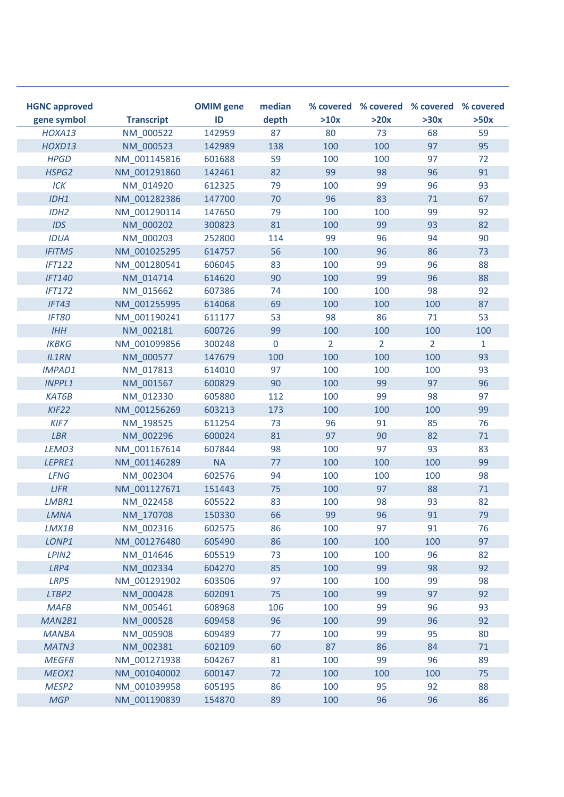| <b>HGNC approved</b><br>gene symbol | <b>Transcript</b> | <b>OMIM</b> gene<br>ID | median<br>depth | >10x           | >20x           | % covered % covered % covered % covered<br>>30x | >50x |
|-------------------------------------|-------------------|------------------------|-----------------|----------------|----------------|-------------------------------------------------|------|
| HOXA13                              | NM 000522         | 142959                 | 87              | 80             | 73             | 68                                              | 59   |
| HOXD13                              | NM 000523         | 142989                 | 138             | 100            | 100            | 97                                              | 95   |
| <b>HPGD</b>                         | NM 001145816      | 601688                 | 59              | 100            | 100            | 97                                              | 72   |
| HSPG2                               | NM 001291860      | 142461                 | 82              | 99             | 98             | 96                                              | 91   |
| ICK                                 | NM 014920         | 612325                 | 79              | 100            | 99             | 96                                              | 93   |
| IDH1                                | NM 001282386      | 147700                 | 70              | 96             | 83             | 71                                              | 67   |
| IDH <sub>2</sub>                    | NM 001290114      | 147650                 | 79              | 100            | 100            | 99                                              | 92   |
| <b>IDS</b>                          | NM 000202         | 300823                 | 81              | 100            | 99             | 93                                              | 82   |
| <b>IDUA</b>                         | NM 000203         | 252800                 | 114             | 99             | 96             | 94                                              | 90   |
| <b>IFITM5</b>                       | NM 001025295      | 614757                 | 56              | 100            | 96             | 86                                              | 73   |
| <b>IFT122</b>                       | NM 001280541      | 606045                 | 83              | 100            | 99             | 96                                              | 88   |
| <b>IFT140</b>                       | NM 014714         | 614620                 | 90              | 100            | 99             | 96                                              | 88   |
| <b>IFT172</b>                       | NM 015662         | 607386                 | 74              | 100            | 100            | 98                                              | 92   |
| IFT43                               | NM 001255995      | 614068                 | 69              | 100            | 100            | 100                                             | 87   |
| <b>IFT80</b>                        | NM 001190241      | 611177                 | 53              | 98             | 86             | 71                                              | 53   |
| IHH                                 | NM 002181         | 600726                 | 99              | 100            | 100            | 100                                             | 100  |
| <b>IKBKG</b>                        | NM 001099856      | 300248                 | $\mathbf 0$     | $\overline{2}$ | $\overline{2}$ | $\overline{2}$                                  | 1    |
| <b>IL1RN</b>                        | NM 000577         | 147679                 | 100             | 100            | 100            | 100                                             | 93   |
| <b>IMPAD1</b>                       | NM 017813         | 614010                 | 97              | 100            | 100            | 100                                             | 93   |
| <b>INPPL1</b>                       | NM 001567         | 600829                 | 90              | 100            | 99             | 97                                              | 96   |
| <b>KAT6B</b>                        | NM 012330         | 605880                 | 112             | 100            | 99             | 98                                              | 97   |
| KIF <sub>22</sub>                   | NM_001256269      | 603213                 | 173             | 100            | 100            | 100                                             | 99   |
| KIF7                                | NM 198525         | 611254                 | 73              | 96             | 91             | 85                                              | 76   |
| <b>LBR</b>                          | NM 002296         | 600024                 | 81              | 97             | 90             | 82                                              | 71   |
| LEMD3                               | NM 001167614      | 607844                 | 98              | 100            | 97             | 93                                              | 83   |
| LEPRE1                              | NM 001146289      | <b>NA</b>              | 77              | 100            | 100            | 100                                             | 99   |
| <b>LFNG</b>                         | NM 002304         | 602576                 | 94              | 100            | 100            | 100                                             | 98   |
| <b>LIFR</b>                         | NM_001127671      | 151443                 | 75              | 100            | 97             | 88                                              | $71$ |
| LMBR1                               | NM 022458         | 605522                 | 83              | 100            | 98             | 93                                              | 82   |
| <b>LMNA</b>                         | NM_170708         | 150330                 | 66              | 99             | 96             | 91                                              | 79   |
| LMX1B                               | NM_002316         | 602575                 | 86              | 100            | 97             | 91                                              | 76   |
| LONP1                               | NM 001276480      | 605490                 | 86              | 100            | 100            | 100                                             | 97   |
| LPIN <sub>2</sub>                   | NM 014646         | 605519                 | 73              | 100            | 100            | 96                                              | 82   |
| LRP4                                | NM 002334         | 604270                 | 85              | 100            | 99             | 98                                              | 92   |
| LRP5                                | NM_001291902      | 603506                 | 97              | 100            | 100            | 99                                              | 98   |
| LTBP2                               | NM_000428         | 602091                 | 75              | 100            | 99             | 97                                              | 92   |
| <b>MAFB</b>                         | NM_005461         | 608968                 | 106             | 100            | 99             | 96                                              | 93   |
| MAN2B1                              | NM_000528         | 609458                 | 96              | 100            | 99             | 96                                              | 92   |
| <b>MANBA</b>                        | NM 005908         | 609489                 | 77              | 100            | 99             | 95                                              | 80   |
| MATN3                               | NM 002381         | 602109                 | 60              | 87             | 86             | 84                                              | 71   |
| MEGF8                               | NM_001271938      | 604267                 | 81              | 100            | 99             | 96                                              | 89   |
| MEOX1                               | NM 001040002      | 600147                 | 72              | 100            | 100            | 100                                             | 75   |
| MESP <sub>2</sub>                   | NM 001039958      | 605195                 | 86              | 100            | 95             | 92                                              | 88   |
| <b>MGP</b>                          | NM_001190839      | 154870                 | 89              | 100            | 96             | 96                                              | 86   |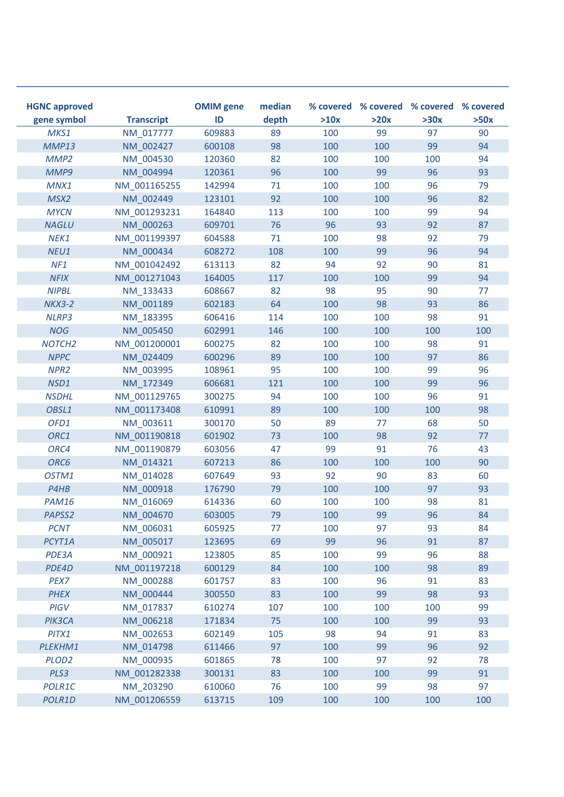| <b>HGNC approved</b><br>gene symbol | <b>Transcript</b> | <b>OMIM</b> gene<br>ID | median<br>depth | >10x | >20x | % covered % covered % covered % covered<br>>30x | >50x |
|-------------------------------------|-------------------|------------------------|-----------------|------|------|-------------------------------------------------|------|
| MKS1                                | NM 017777         | 609883                 | 89              | 100  | 99   | 97                                              | 90   |
| MMP13                               | NM 002427         | 600108                 | 98              | 100  | 100  | 99                                              | 94   |
| MMP <sub>2</sub>                    | NM 004530         | 120360                 | 82              | 100  | 100  | 100                                             | 94   |
| MMP9                                | NM 004994         | 120361                 | 96              | 100  | 99   | 96                                              | 93   |
| MNX1                                | NM 001165255      | 142994                 | 71              | 100  | 100  | 96                                              | 79   |
| MSX2                                | NM 002449         | 123101                 | 92              | 100  | 100  | 96                                              | 82   |
| <b>MYCN</b>                         | NM 001293231      | 164840                 | 113             | 100  | 100  | 99                                              | 94   |
| <b>NAGLU</b>                        | NM 000263         | 609701                 | 76              | 96   | 93   | 92                                              | 87   |
| NEK1                                | NM 001199397      | 604588                 | 71              | 100  | 98   | 92                                              | 79   |
| NEU1                                | NM 000434         | 608272                 | 108             | 100  | 99   | 96                                              | 94   |
| NF1                                 | NM 001042492      | 613113                 | 82              | 94   | 92   | 90                                              | 81   |
| <b>NFIX</b>                         | NM 001271043      | 164005                 | 117             | 100  | 100  | 99                                              | 94   |
| <b>NIPBL</b>                        | NM 133433         | 608667                 | 82              | 98   | 95   | 90                                              | 77   |
| <b>NKX3-2</b>                       | NM 001189         | 602183                 | 64              | 100  | 98   | 93                                              | 86   |
| NLRP3                               | NM 183395         | 606416                 | 114             | 100  | 100  | 98                                              | 91   |
| <b>NOG</b>                          | NM 005450         | 602991                 | 146             | 100  | 100  | 100                                             | 100  |
| NOTCH <sub>2</sub>                  | NM 001200001      | 600275                 | 82              | 100  | 100  | 98                                              | 91   |
| <b>NPPC</b>                         | NM 024409         | 600296                 | 89              | 100  | 100  | 97                                              | 86   |
| NPR <sub>2</sub>                    | NM 003995         | 108961                 | 95              | 100  | 100  | 99                                              | 96   |
| NSD1                                | NM 172349         | 606681                 | 121             | 100  | 100  | 99                                              | 96   |
| <b>NSDHL</b>                        | NM 001129765      | 300275                 | 94              | 100  | 100  | 96                                              | 91   |
| OBSL1                               | NM 001173408      | 610991                 | 89              | 100  | 100  | 100                                             | 98   |
| OFD1                                | NM 003611         | 300170                 | 50              | 89   | 77   | 68                                              | 50   |
| ORC1                                | NM 001190818      | 601902                 | 73              | 100  | 98   | 92                                              | 77   |
| ORC4                                | NM 001190879      | 603056                 | 47              | 99   | 91   | 76                                              | 43   |
| ORC6                                | NM 014321         | 607213                 | 86              | 100  | 100  | 100                                             | 90   |
| OSTM1                               | NM 014028         | 607649                 | 93              | 92   | 90   | 83                                              | 60   |
| P4HB                                | NM 000918         | 176790                 | 79              | 100  | 100  | 97                                              | 93   |
| <b>PAM16</b>                        | NM 016069         | 614336                 | 60              | 100  | 100  | 98                                              | 81   |
| PAPSS2                              | NM 004670         | 603005                 | 79              | 100  | 99   | 96                                              | 84   |
| <b>PCNT</b>                         | NM_006031         | 605925                 | 77              | 100  | 97   | 93                                              | 84   |
| PCYT1A                              | NM 005017         | 123695                 | 69              | 99   | 96   | 91                                              | 87   |
| PDE3A                               | NM 000921         | 123805                 | 85              | 100  | 99   | 96                                              | 88   |
| PDE4D                               | NM_001197218      | 600129                 | 84              | 100  | 100  | 98                                              | 89   |
| PEX7                                | NM_000288         | 601757                 | 83              | 100  | 96   | 91                                              | 83   |
| <b>PHEX</b>                         | NM_000444         | 300550                 | 83              | 100  | 99   | 98                                              | 93   |
| PIGV                                | NM_017837         | 610274                 | 107             | 100  | 100  | 100                                             | 99   |
| PIK3CA                              | NM_006218         | 171834                 | 75              | 100  | 100  | 99                                              | 93   |
| PITX1                               | NM_002653         | 602149                 | 105             | 98   | 94   | 91                                              | 83   |
| PLEKHM1                             | NM_014798         | 611466                 | 97              | 100  | 99   | 96                                              | 92   |
| PLOD <sub>2</sub>                   | NM_000935         | 601865                 | 78              | 100  | 97   | 92                                              | 78   |
| PLS3                                | NM_001282338      | 300131                 | 83              | 100  | 100  | 99                                              | 91   |
| POLR1C                              | NM 203290         | 610060                 | 76              | 100  | 99   | 98                                              | 97   |
| POLR1D                              | NM_001206559      | 613715                 | 109             | 100  | 100  | 100                                             | 100  |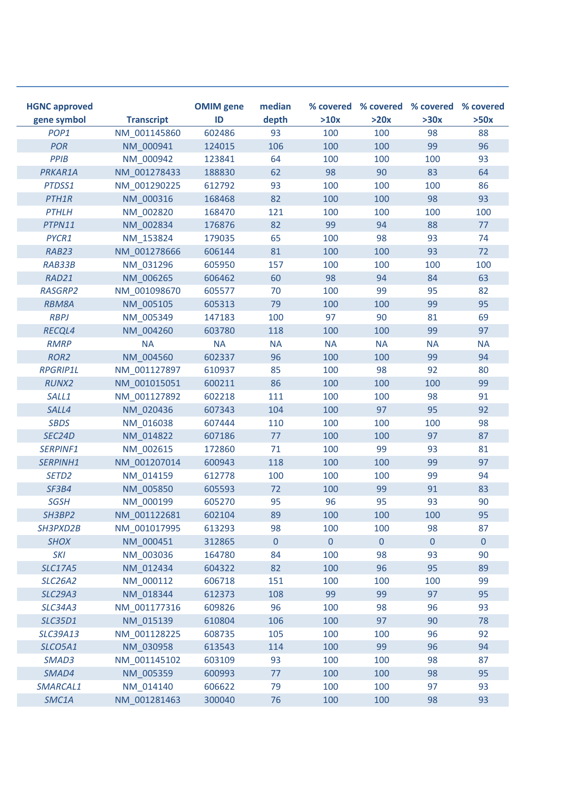| <b>HGNC approved</b><br>gene symbol | <b>Transcript</b> | <b>OMIM</b> gene<br>ID | median<br>depth | >10x         | >20x           | % covered % covered % covered % covered<br>>30x | >50x           |
|-------------------------------------|-------------------|------------------------|-----------------|--------------|----------------|-------------------------------------------------|----------------|
| POP <sub>1</sub>                    | NM 001145860      | 602486                 | 93              | 100          | 100            | 98                                              | 88             |
| <b>POR</b>                          | NM 000941         | 124015                 | 106             | 100          | 100            | 99                                              | 96             |
| PPIB                                | NM 000942         | 123841                 | 64              | 100          | 100            | 100                                             | 93             |
| PRKAR1A                             | NM 001278433      | 188830                 | 62              | 98           | 90             | 83                                              | 64             |
| PTDSS1                              | NM 001290225      | 612792                 | 93              | 100          | 100            | 100                                             | 86             |
| PTH <sub>1</sub> R                  | NM 000316         | 168468                 | 82              | 100          | 100            | 98                                              | 93             |
| <b>PTHLH</b>                        | NM 002820         | 168470                 | 121             | 100          | 100            | 100                                             | 100            |
| PTPN11                              | NM 002834         | 176876                 | 82              | 99           | 94             | 88                                              | 77             |
| PYCR1                               | NM 153824         | 179035                 | 65              | 100          | 98             | 93                                              | 74             |
| RAB23                               | NM 001278666      | 606144                 | 81              | 100          | 100            | 93                                              | 72             |
| RAB33B                              | NM 031296         | 605950                 | 157             | 100          | 100            | 100                                             | 100            |
| RAD21                               | NM 006265         | 606462                 | 60              | 98           | 94             | 84                                              | 63             |
| <b>RASGRP2</b>                      | NM 001098670      | 605577                 | 70              | 100          | 99             | 95                                              | 82             |
| <b>RBM8A</b>                        | NM 005105         | 605313                 | 79              | 100          | 100            | 99                                              | 95             |
| <b>RBPJ</b>                         | NM 005349         | 147183                 | 100             | 97           | 90             | 81                                              | 69             |
| <b>RECQL4</b>                       | NM 004260         | 603780                 | 118             | 100          | 100            | 99                                              | 97             |
| <b>RMRP</b>                         | <b>NA</b>         | <b>NA</b>              | <b>NA</b>       | <b>NA</b>    | <b>NA</b>      | <b>NA</b>                                       | <b>NA</b>      |
| ROR <sub>2</sub>                    | NM 004560         | 602337                 | 96              | 100          | 100            | 99                                              | 94             |
| <b>RPGRIP1L</b>                     | NM 001127897      | 610937                 | 85              | 100          | 98             | 92                                              | 80             |
| <b>RUNX2</b>                        | NM 001015051      | 600211                 | 86              | 100          | 100            | 100                                             | 99             |
| SALL1                               | NM 001127892      | 602218                 | 111             | 100          | 100            | 98                                              | 91             |
| SALL4                               | NM 020436         | 607343                 | 104             | 100          | 97             | 95                                              | 92             |
| <b>SBDS</b>                         | NM 016038         | 607444                 | 110             | 100          | 100            | 100                                             | 98             |
| SEC24D                              | NM 014822         | 607186                 | 77              | 100          | 100            | 97                                              | 87             |
| SERPINF1                            | NM 002615         | 172860                 | 71              | 100          | 99             | 93                                              | 81             |
| SERPINH1                            | NM 001207014      | 600943                 | 118             | 100          | 100            | 99                                              | 97             |
| SETD <sub>2</sub>                   | NM 014159         | 612778                 | 100             | 100          | 100            | 99                                              | 94             |
| SF3B4                               | NM 005850         | 605593                 | 72              | 100          | 99             | 91                                              | 83             |
| <b>SGSH</b>                         | NM 000199         | 605270                 | 95              | 96           | 95             | 93                                              | 90             |
| SH3BP2                              | NM_001122681      | 602104                 | 89              | 100          | 100            | 100                                             | 95             |
| SH3PXD2B                            | NM_001017995      | 613293                 | 98              | 100          | 100            | 98                                              | 87             |
| <b>SHOX</b>                         | NM 000451         | 312865                 | $\mathbf{0}$    | $\mathbf{0}$ | $\overline{0}$ | $\pmb{0}$                                       | $\overline{0}$ |
| <b>SKI</b>                          | NM_003036         | 164780                 | 84              | 100          | 98             | 93                                              | 90             |
| <b>SLC17A5</b>                      | NM_012434         | 604322                 | 82              | 100          | 96             | 95                                              | 89             |
| <b>SLC26A2</b>                      | NM_000112         | 606718                 | 151             | 100          | 100            | 100                                             | 99             |
| <b>SLC29A3</b>                      | NM_018344         | 612373                 | 108             | 99           | 99             | 97                                              | 95             |
| <b>SLC34A3</b>                      | NM_001177316      | 609826                 | 96              | 100          | 98             | 96                                              | 93             |
| <b>SLC35D1</b>                      | NM_015139         | 610804                 | 106             | 100          | 97             | 90                                              | 78             |
| <b>SLC39A13</b>                     | NM 001128225      | 608735                 | 105             | 100          | 100            | 96                                              | 92             |
| SLCO5A1                             | NM 030958         | 613543                 | 114             | 100          | 99             | 96                                              | 94             |
| SMAD3                               | NM_001145102      | 603109                 | 93              | 100          | 100            | 98                                              | 87             |
| SMAD4                               | NM_005359         | 600993                 | 77              | 100          | 100            | 98                                              | 95             |
| SMARCAL1                            | NM_014140         | 606622                 | 79              | 100          | 100            | 97                                              | 93             |
| SMC1A                               | NM_001281463      | 300040                 | 76              | 100          | 100            | 98                                              | 93             |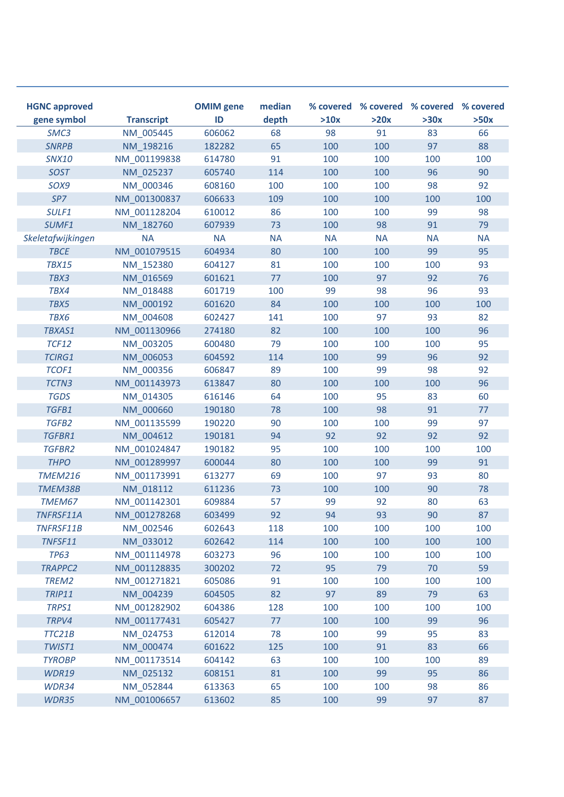| <b>HGNC approved</b><br>gene symbol | <b>Transcript</b> | <b>OMIM</b> gene<br>ID | median<br>depth | >10x      | >20x      | % covered % covered % covered % covered<br>>30x | >50x      |
|-------------------------------------|-------------------|------------------------|-----------------|-----------|-----------|-------------------------------------------------|-----------|
| SMC3                                | NM 005445         | 606062                 | 68              | 98        | 91        | 83                                              | 66        |
| <b>SNRPB</b>                        | NM 198216         | 182282                 | 65              | 100       | 100       | 97                                              | 88        |
| <b>SNX10</b>                        | NM 001199838      | 614780                 | 91              | 100       | 100       | 100                                             | 100       |
| <b>SOST</b>                         | NM 025237         | 605740                 | 114             | 100       | 100       | 96                                              | 90        |
| SOX9                                | NM 000346         | 608160                 | 100             | 100       | 100       | 98                                              | 92        |
| SP7                                 | NM 001300837      | 606633                 | 109             | 100       | 100       | 100                                             | 100       |
| SULF1                               | NM 001128204      | 610012                 | 86              | 100       | 100       | 99                                              | 98        |
| SUMF1                               | NM 182760         | 607939                 | 73              | 100       | 98        | 91                                              | 79        |
| Skeletafwijkingen                   | <b>NA</b>         | <b>NA</b>              | <b>NA</b>       | <b>NA</b> | <b>NA</b> | <b>NA</b>                                       | <b>NA</b> |
| <b>TBCE</b>                         | NM_001079515      | 604934                 | 80              | 100       | 100       | 99                                              | 95        |
| <b>TBX15</b>                        | NM 152380         | 604127                 | 81              | 100       | 100       | 100                                             | 93        |
| TBX3                                | NM 016569         | 601621                 | 77              | 100       | 97        | 92                                              | 76        |
| TBX4                                | NM 018488         | 601719                 | 100             | 99        | 98        | 96                                              | 93        |
| TBX5                                | NM 000192         | 601620                 | 84              | 100       | 100       | 100                                             | 100       |
| TBX6                                | NM_004608         | 602427                 | 141             | 100       | 97        | 93                                              | 82        |
| <b>TBXAS1</b>                       | NM 001130966      | 274180                 | 82              | 100       | 100       | 100                                             | 96        |
| <b>TCF12</b>                        | NM 003205         | 600480                 | 79              | 100       | 100       | 100                                             | 95        |
| <b>TCIRG1</b>                       | NM 006053         | 604592                 | 114             | 100       | 99        | 96                                              | 92        |
| TCOF1                               | NM 000356         | 606847                 | 89              | 100       | 99        | 98                                              | 92        |
| TCTN3                               | NM 001143973      | 613847                 | 80              | 100       | 100       | 100                                             | 96        |
| <b>TGDS</b>                         | NM 014305         | 616146                 | 64              | 100       | 95        | 83                                              | 60        |
| TGFB1                               | NM 000660         | 190180                 | 78              | 100       | 98        | 91                                              | 77        |
| TGFB2                               | NM 001135599      | 190220                 | 90              | 100       | 100       | 99                                              | 97        |
| TGFBR1                              | NM 004612         | 190181                 | 94              | 92        | 92        | 92                                              | 92        |
| TGFBR2                              | NM 001024847      | 190182                 | 95              | 100       | 100       | 100                                             | 100       |
| <b>THPO</b>                         | NM 001289997      | 600044                 | 80              | 100       | 100       | 99                                              | 91        |
| <b>TMEM216</b>                      | NM 001173991      | 613277                 | 69              | 100       | 97        | 93                                              | 80        |
| TMEM38B                             | NM 018112         | 611236                 | 73              | 100       | 100       | 90                                              | 78        |
| TMEM67                              | NM 001142301      | 609884                 | 57              | 99        | 92        | 80                                              | 63        |
| TNFRSF11A                           | NM 001278268      | 603499                 | 92              | 94        | 93        | 90                                              | 87        |
| TNFRSF11B                           | NM_002546         | 602643                 | 118             | 100       | 100       | 100                                             | 100       |
| TNFSF11                             | NM 033012         | 602642                 | 114             | 100       | 100       | 100                                             | 100       |
| <b>TP63</b>                         | NM 001114978      | 603273                 | 96              | 100       | 100       | 100                                             | 100       |
| <b>TRAPPC2</b>                      | NM 001128835      | 300202                 | 72              | 95        | 79        | 70                                              | 59        |
| TREM2                               | NM 001271821      | 605086                 | 91              | 100       | 100       | 100                                             | 100       |
| <b>TRIP11</b>                       | NM_004239         | 604505                 | 82              | 97        | 89        | 79                                              | 63        |
| TRPS1                               | NM 001282902      | 604386                 | 128             | 100       | 100       | 100                                             | 100       |
| TRPV4                               | NM 001177431      | 605427                 | 77              | 100       | 100       | 99                                              | 96        |
| TTC21B                              | NM_024753         | 612014                 | 78              | 100       | 99        | 95                                              | 83        |
| TWIST1                              | NM_000474         | 601622                 | 125             | 100       | 91        | 83                                              | 66        |
| <b>TYROBP</b>                       | NM_001173514      | 604142                 | 63              | 100       | 100       | 100                                             | 89        |
| <b>WDR19</b>                        | NM_025132         | 608151                 | 81              | 100       | 99        | 95                                              | 86        |
| WDR34                               | NM_052844         | 613363                 | 65              | 100       | 100       | 98                                              | 86        |
| WDR35                               | NM_001006657      | 613602                 | 85              | 100       | 99        | 97                                              | 87        |